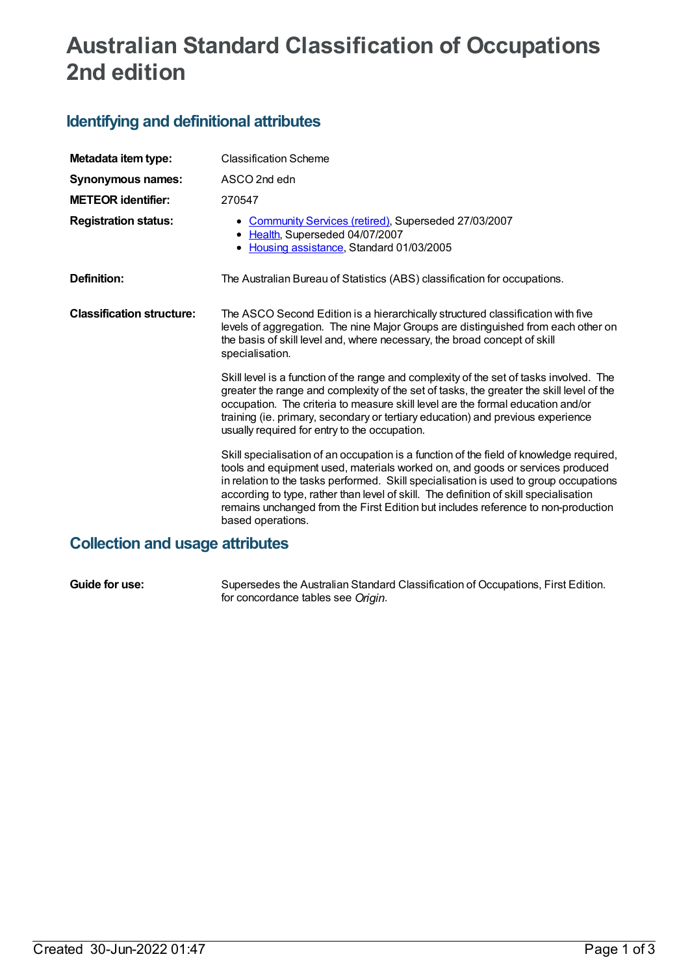## **Australian Standard Classification of Occupations 2nd edition**

## **Identifying and definitional attributes**

| Metadata item type:              | <b>Classification Scheme</b>                                                                                                                                                                                                                                                                                                                                                                                                                                         |
|----------------------------------|----------------------------------------------------------------------------------------------------------------------------------------------------------------------------------------------------------------------------------------------------------------------------------------------------------------------------------------------------------------------------------------------------------------------------------------------------------------------|
| Synonymous names:                | ASCO 2nd edn                                                                                                                                                                                                                                                                                                                                                                                                                                                         |
| <b>METEOR</b> identifier:        | 270547                                                                                                                                                                                                                                                                                                                                                                                                                                                               |
| <b>Registration status:</b>      | • Community Services (retired), Superseded 27/03/2007<br>• Health, Superseded 04/07/2007<br>• Housing assistance, Standard 01/03/2005                                                                                                                                                                                                                                                                                                                                |
| Definition:                      | The Australian Bureau of Statistics (ABS) classification for occupations.                                                                                                                                                                                                                                                                                                                                                                                            |
| <b>Classification structure:</b> | The ASCO Second Edition is a hierarchically structured classification with five<br>levels of aggregation. The nine Major Groups are distinguished from each other on<br>the basis of skill level and, where necessary, the broad concept of skill<br>specialisation.                                                                                                                                                                                                 |
|                                  | Skill level is a function of the range and complexity of the set of tasks involved. The<br>greater the range and complexity of the set of tasks, the greater the skill level of the<br>occupation. The criteria to measure skill level are the formal education and/or<br>training (ie. primary, secondary or tertiary education) and previous experience<br>usually required for entry to the occupation.                                                           |
|                                  | Skill specialisation of an occupation is a function of the field of knowledge required,<br>tools and equipment used, materials worked on, and goods or services produced<br>in relation to the tasks performed. Skill specialisation is used to group occupations<br>according to type, rather than level of skill. The definition of skill specialisation<br>remains unchanged from the First Edition but includes reference to non-production<br>based operations. |

## **Collection and usage attributes**

**Guide for use:** Supersedes the Australian Standard Classification of Occupations, First Edition. for concordance tables see *Origin*.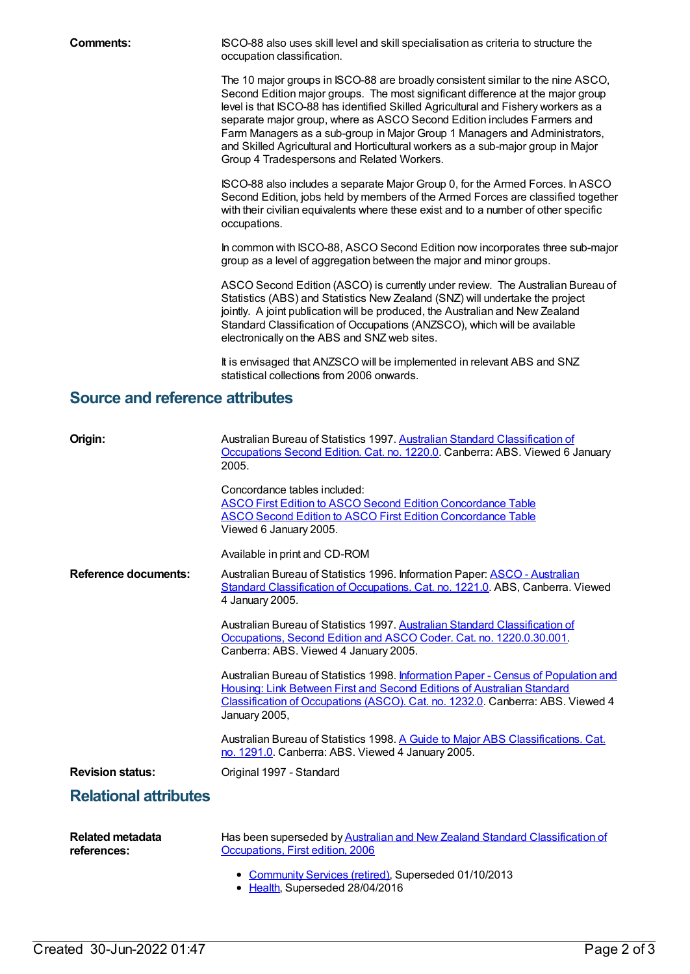**Comments:** ISCO-88 also uses skill level and skill specialisation as criteria to structure the occupation classification.

> The 10 major groups in ISCO-88 are broadly consistent similar to the nine ASCO, Second Edition major groups. The most significant difference at the major group level is that ISCO-88 has identified Skilled Agricultural and Fishery workers as a separate major group, where as ASCO Second Edition includes Farmers and Farm Managers as a sub-group in Major Group 1 Managers and Administrators, and Skilled Agricultural and Horticultural workers as a sub-major group in Major Group 4 Tradespersons and Related Workers.

ISCO-88 also includes a separate Major Group 0, for the Armed Forces. In ASCO Second Edition, jobs held by members of the Armed Forces are classified together with their civilian equivalents where these exist and to a number of other specific occupations.

In common with ISCO-88, ASCO Second Edition now incorporates three sub-major group as a level of aggregation between the major and minor groups.

ASCO Second Edition (ASCO) is currently under review. The Australian Bureau of Statistics (ABS) and Statistics New Zealand (SNZ) will undertake the project jointly. A joint publication will be produced, the Australian and New Zealand Standard Classification of Occupations (ANZSCO), which will be available electronically on the ABS and SNZ web sites.

It is envisaged that ANZSCO will be implemented in relevant ABS and SNZ statistical collections from 2006 onwards.

## **Source and reference attributes**

| Origin:                                | Australian Bureau of Statistics 1997. Australian Standard Classification of<br>Occupations Second Edition. Cat. no. 1220.0. Canberra: ABS. Viewed 6 January<br>2005.                                                                                            |
|----------------------------------------|-----------------------------------------------------------------------------------------------------------------------------------------------------------------------------------------------------------------------------------------------------------------|
|                                        | Concordance tables included:<br><b>ASCO First Edition to ASCO Second Edition Concordance Table</b><br><b>ASCO Second Edition to ASCO First Edition Concordance Table</b><br>Viewed 6 January 2005.                                                              |
|                                        | Available in print and CD-ROM                                                                                                                                                                                                                                   |
| <b>Reference documents:</b>            | Australian Bureau of Statistics 1996. Information Paper: <b>ASCO - Australian</b><br>Standard Classification of Occupations. Cat. no. 1221.0. ABS, Canberra. Viewed<br>4 January 2005.                                                                          |
|                                        | Australian Bureau of Statistics 1997. Australian Standard Classification of<br>Occupations, Second Edition and ASCO Coder. Cat. no. 1220.0.30.001.<br>Canberra: ABS. Viewed 4 January 2005.                                                                     |
|                                        | Australian Bureau of Statistics 1998. Information Paper - Census of Population and<br>Housing: Link Between First and Second Editions of Australian Standard<br>Classification of Occupations (ASCO). Cat. no. 1232.0. Canberra: ABS. Viewed 4<br>January 2005, |
|                                        | Australian Bureau of Statistics 1998. A Guide to Major ABS Classifications. Cat.<br>no. 1291.0. Canberra: ABS. Viewed 4 January 2005.                                                                                                                           |
| <b>Revision status:</b>                | Original 1997 - Standard                                                                                                                                                                                                                                        |
| <b>Relational attributes</b>           |                                                                                                                                                                                                                                                                 |
| <b>Related metadata</b><br>references: | Has been superseded by Australian and New Zealand Standard Classification of<br>Occupations, First edition, 2006                                                                                                                                                |
|                                        | Community Services (retired), Superseded 01/10/2013<br>٠                                                                                                                                                                                                        |

• [Health](https://meteor.aihw.gov.au/RegistrationAuthority/12), Superseded 28/04/2016